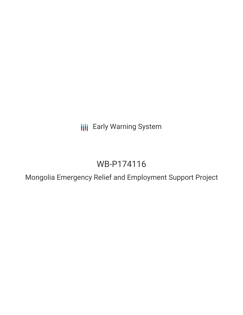**III** Early Warning System

# WB-P174116

Mongolia Emergency Relief and Employment Support Project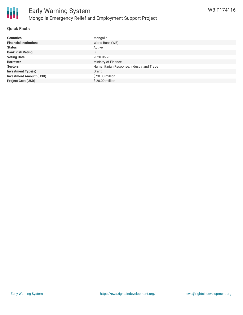

#### **Quick Facts**

| <b>Countries</b>               | Mongolia                                  |
|--------------------------------|-------------------------------------------|
| <b>Financial Institutions</b>  | World Bank (WB)                           |
| <b>Status</b>                  | Active                                    |
| <b>Bank Risk Rating</b>        | B                                         |
| <b>Voting Date</b>             | 2020-06-23                                |
| <b>Borrower</b>                | Ministry of Finance                       |
| <b>Sectors</b>                 | Humanitarian Response, Industry and Trade |
| <b>Investment Type(s)</b>      | Grant                                     |
| <b>Investment Amount (USD)</b> | \$20.00 million                           |
| <b>Project Cost (USD)</b>      | $$20.00$ million                          |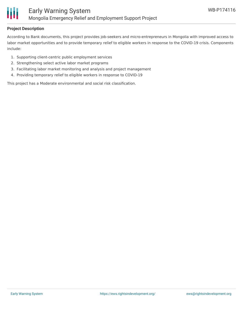

#### **Project Description**

According to Bank documents, this project provides job-seekers and micro-entrepreneurs in Mongolia with improved access to labor market opportunities and to provide temporary relief to eligible workers in response to the COVID-19 crisis. Components include:

- 1. Supporting client-centric public employment services
- 2. Strengthening select active labor market programs
- 3. Facilitating labor market monitoring and analysis and project management
- 4. Providing temporary relief to eligible workers in response to COVID-19

This project has a Moderate environmental and social risk classification.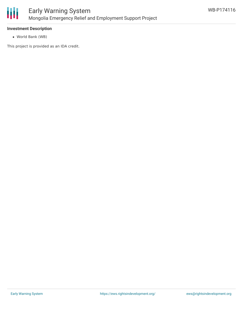

#### **Investment Description**

World Bank (WB)

This project is provided as an IDA credit.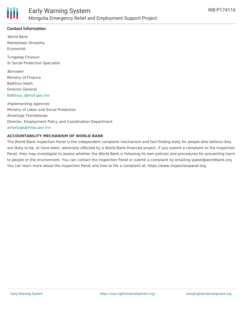

### **Contact Information**

World Bank Maheshwor Shrestha Economist

Tungalag Chuluun Sr Social Protection Specialist

Borrower Ministry of Finance Batkhuu Idesh Director General [Batkhuu\\_i@mof.gov.mn](mailto:Batkhuu_i@mof.gov.mn)

Implementing Agencies Ministry of Labor and Social Protection Amartugs Tsenddavaa Director, Employment Policy and Coordination Department [amartugs@mlsp.gov.mn](mailto:amartugs@mlsp.gov.mn)

#### **ACCOUNTABILITY MECHANISM OF WORLD BANK**

The World Bank Inspection Panel is the independent complaint mechanism and fact-finding body for people who believe they are likely to be, or have been, adversely affected by a World Bank-financed project. If you submit a complaint to the Inspection Panel, they may investigate to assess whether the World Bank is following its own policies and procedures for preventing harm to people or the environment. You can contact the Inspection Panel or submit a complaint by emailing ipanel@worldbank.org. You can learn more about the Inspection Panel and how to file a complaint at: https://www.inspectionpanel.org.